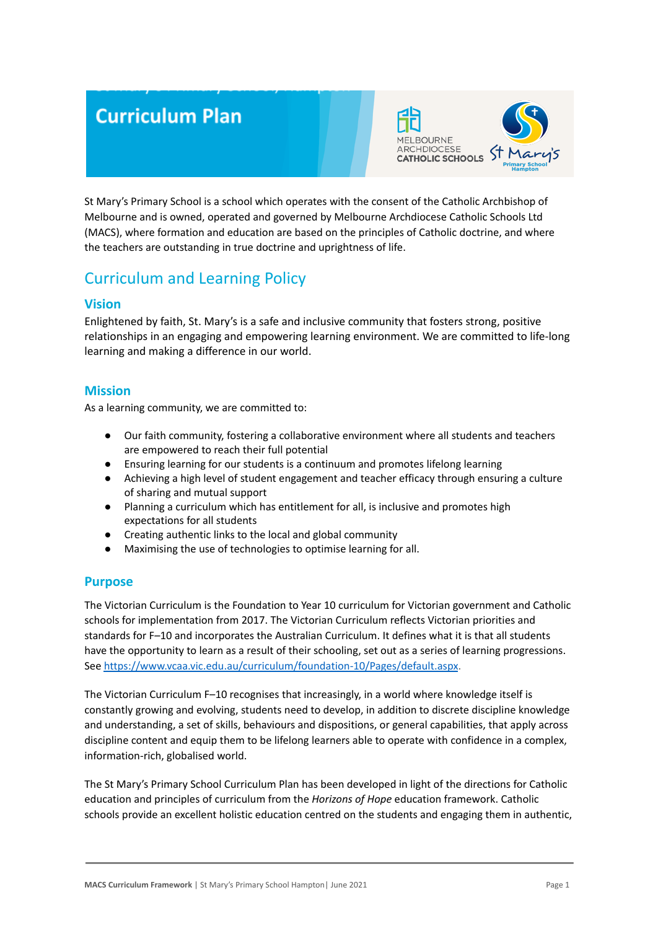# **Curriculum Plan**



St Mary's Primary School is a school which operates with the consent of the Catholic Archbishop of Melbourne and is owned, operated and governed by Melbourne Archdiocese Catholic Schools Ltd (MACS), where formation and education are based on the principles of Catholic doctrine, and where the teachers are outstanding in true doctrine and uprightness of life.

# Curriculum and Learning Policy

## **Vision**

Enlightened by faith, St. Mary's is a safe and inclusive community that fosters strong, positive relationships in an engaging and empowering learning environment. We are committed to life-long learning and making a difference in our world.

## **Mission**

As a learning community, we are committed to:

- Our faith community, fostering a collaborative environment where all students and teachers are empowered to reach their full potential
- Ensuring learning for our students is a continuum and promotes lifelong learning
- Achieving a high level of student engagement and teacher efficacy through ensuring a culture of sharing and mutual support
- Planning a curriculum which has entitlement for all, is inclusive and promotes high expectations for all students
- Creating authentic links to the local and global community
- Maximising the use of technologies to optimise learning for all.

### **Purpose**

The Victorian Curriculum is the Foundation to Year 10 curriculum for Victorian government and Catholic schools for implementation from 2017. The Victorian Curriculum reflects Victorian priorities and standards for F–10 and incorporates the Australian Curriculum. It defines what it is that all students have the opportunity to learn as a result of their schooling, set out as a series of learning progressions. See <https://www.vcaa.vic.edu.au/curriculum/foundation-10/Pages/default.aspx>.

The Victorian Curriculum F–10 recognises that increasingly, in a world where knowledge itself is constantly growing and evolving, students need to develop, in addition to discrete discipline knowledge and understanding, a set of skills, behaviours and dispositions, or general capabilities, that apply across discipline content and equip them to be lifelong learners able to operate with confidence in a complex, information-rich, globalised world.

The St Mary's Primary School Curriculum Plan has been developed in light of the directions for Catholic education and principles of curriculum from the *Horizons of Hope* education framework. Catholic schools provide an excellent holistic education centred on the students and engaging them in authentic,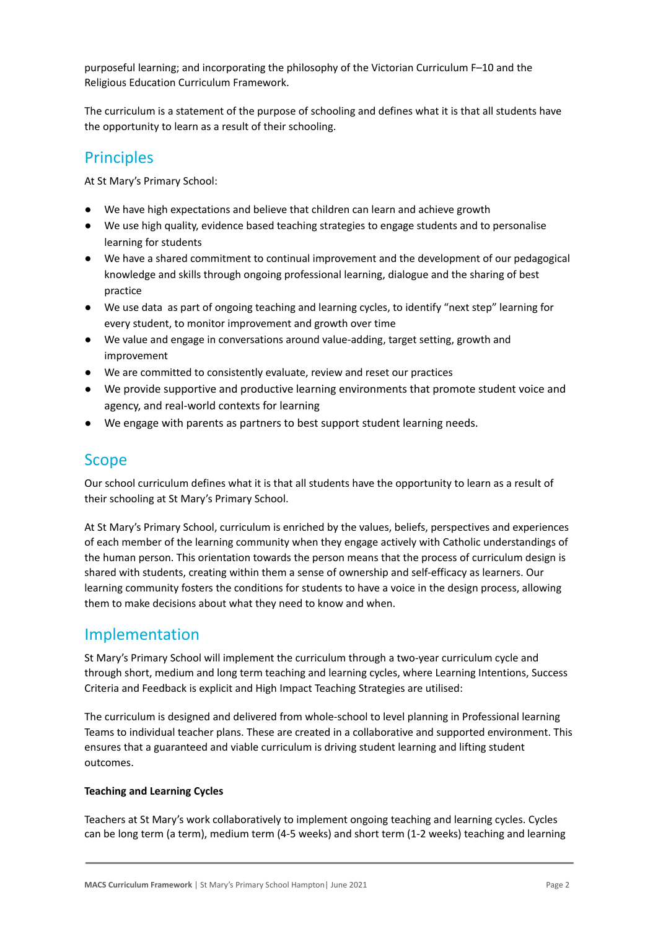purposeful learning; and incorporating the philosophy of the Victorian Curriculum F–10 and the Religious Education Curriculum Framework.

The curriculum is a statement of the purpose of schooling and defines what it is that all students have the opportunity to learn as a result of their schooling.

# **Principles**

At St Mary's Primary School:

- We have high expectations and believe that children can learn and achieve growth
- We use high quality, evidence based teaching strategies to engage students and to personalise learning for students
- We have a shared commitment to continual improvement and the development of our pedagogical knowledge and skills through ongoing professional learning, dialogue and the sharing of best practice
- We use data as part of ongoing teaching and learning cycles, to identify "next step" learning for every student, to monitor improvement and growth over time
- We value and engage in conversations around value-adding, target setting, growth and improvement
- We are committed to consistently evaluate, review and reset our practices
- We provide supportive and productive learning environments that promote student voice and agency, and real-world contexts for learning
- We engage with parents as partners to best support student learning needs.

# **Scope**

Our school curriculum defines what it is that all students have the opportunity to learn as a result of their schooling at St Mary's Primary School.

At St Mary's Primary School, curriculum is enriched by the values, beliefs, perspectives and experiences of each member of the learning community when they engage actively with Catholic understandings of the human person. This orientation towards the person means that the process of curriculum design is shared with students, creating within them a sense of ownership and self-efficacy as learners. Our learning community fosters the conditions for students to have a voice in the design process, allowing them to make decisions about what they need to know and when.

# Implementation

St Mary's Primary School will implement the curriculum through a two-year curriculum cycle and through short, medium and long term teaching and learning cycles, where Learning Intentions, Success Criteria and Feedback is explicit and High Impact Teaching Strategies are utilised:

The curriculum is designed and delivered from whole-school to level planning in Professional learning Teams to individual teacher plans. These are created in a collaborative and supported environment. This ensures that a guaranteed and viable curriculum is driving student learning and lifting student outcomes.

#### **Teaching and Learning Cycles**

Teachers at St Mary's work collaboratively to implement ongoing teaching and learning cycles. Cycles can be long term (a term), medium term (4-5 weeks) and short term (1-2 weeks) teaching and learning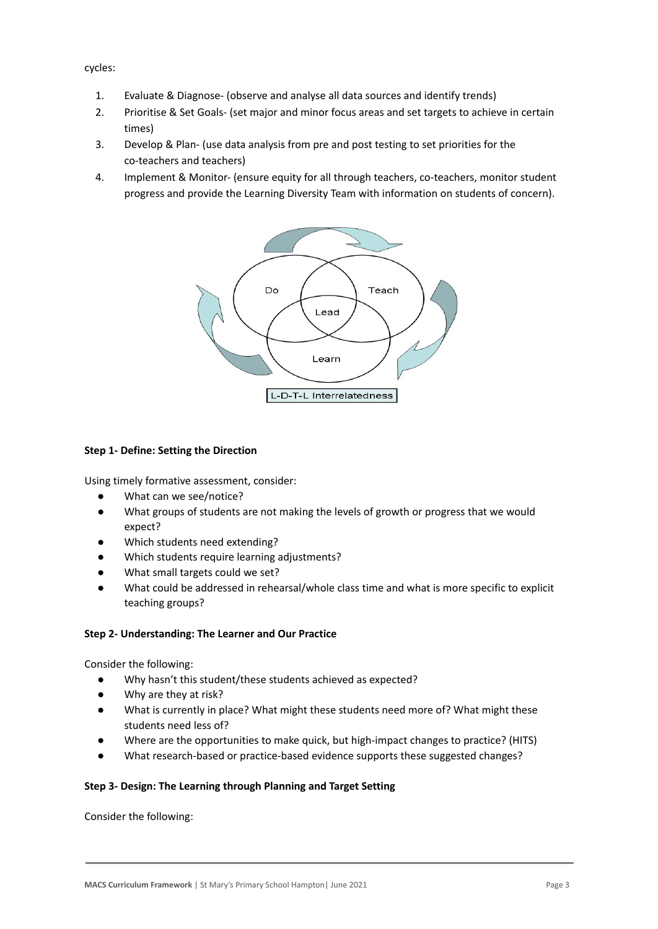cycles:

- 1. Evaluate & Diagnose- (observe and analyse all data sources and identify trends)
- 2. Prioritise & Set Goals- (set major and minor focus areas and set targets to achieve in certain times)
- 3. Develop & Plan- (use data analysis from pre and post testing to set priorities for the co-teachers and teachers)
- 4. Implement & Monitor- (ensure equity for all through teachers, co-teachers, monitor student progress and provide the Learning Diversity Team with information on students of concern).



#### **Step 1- Define: Setting the Direction**

Using timely formative assessment, consider:

- What can we see/notice?
- What groups of students are not making the levels of growth or progress that we would expect?
- Which students need extending?
- Which students require learning adjustments?
- What small targets could we set?
- What could be addressed in rehearsal/whole class time and what is more specific to explicit teaching groups?

#### **Step 2- Understanding: The Learner and Our Practice**

Consider the following:

- Why hasn't this student/these students achieved as expected?
- Why are they at risk?
- What is currently in place? What might these students need more of? What might these students need less of?
- Where are the opportunities to make quick, but high-impact changes to practice? (HITS)
- What research-based or practice-based evidence supports these suggested changes?

#### **Step 3- Design: The Learning through Planning and Target Setting**

Consider the following: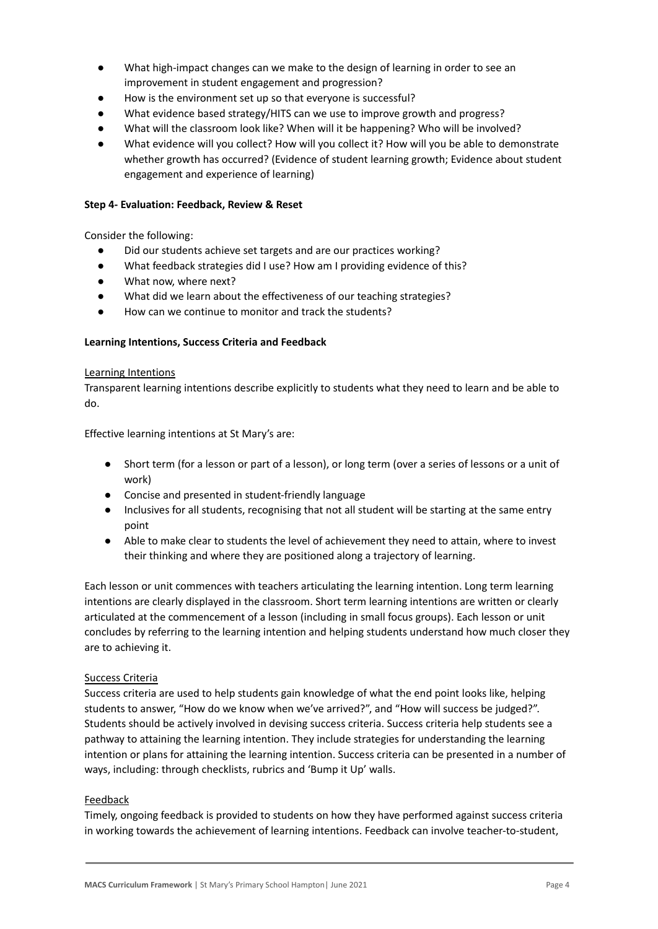- What high-impact changes can we make to the design of learning in order to see an improvement in student engagement and progression?
- How is the environment set up so that everyone is successful?
- What evidence based strategy/HITS can we use to improve growth and progress?
- What will the classroom look like? When will it be happening? Who will be involved?
- What evidence will you collect? How will you collect it? How will you be able to demonstrate whether growth has occurred? (Evidence of student learning growth; Evidence about student engagement and experience of learning)

#### **Step 4- Evaluation: Feedback, Review & Reset**

Consider the following:

- Did our students achieve set targets and are our practices working?
- What feedback strategies did I use? How am I providing evidence of this?
- What now, where next?
- What did we learn about the effectiveness of our teaching strategies?
- How can we continue to monitor and track the students?

#### **Learning Intentions, Success Criteria and Feedback**

#### Learning Intentions

Transparent learning intentions describe explicitly to students what they need to learn and be able to do.

Effective learning intentions at St Mary's are:

- Short term (for a lesson or part of a lesson), or long term (over a series of lessons or a unit of work)
- Concise and presented in student-friendly language
- Inclusives for all students, recognising that not all student will be starting at the same entry point
- Able to make clear to students the level of achievement they need to attain, where to invest their thinking and where they are positioned along a trajectory of learning.

Each lesson or unit commences with teachers articulating the learning intention. Long term learning intentions are clearly displayed in the classroom. Short term learning intentions are written or clearly articulated at the commencement of a lesson (including in small focus groups). Each lesson or unit concludes by referring to the learning intention and helping students understand how much closer they are to achieving it.

#### Success Criteria

Success criteria are used to help students gain knowledge of what the end point looks like, helping students to answer, "How do we know when we've arrived?", and "How will success be judged?". Students should be actively involved in devising success criteria. Success criteria help students see a pathway to attaining the learning intention. They include strategies for understanding the learning intention or plans for attaining the learning intention. Success criteria can be presented in a number of ways, including: through checklists, rubrics and 'Bump it Up' walls.

#### Feedback

Timely, ongoing feedback is provided to students on how they have performed against success criteria in working towards the achievement of learning intentions. Feedback can involve teacher-to-student,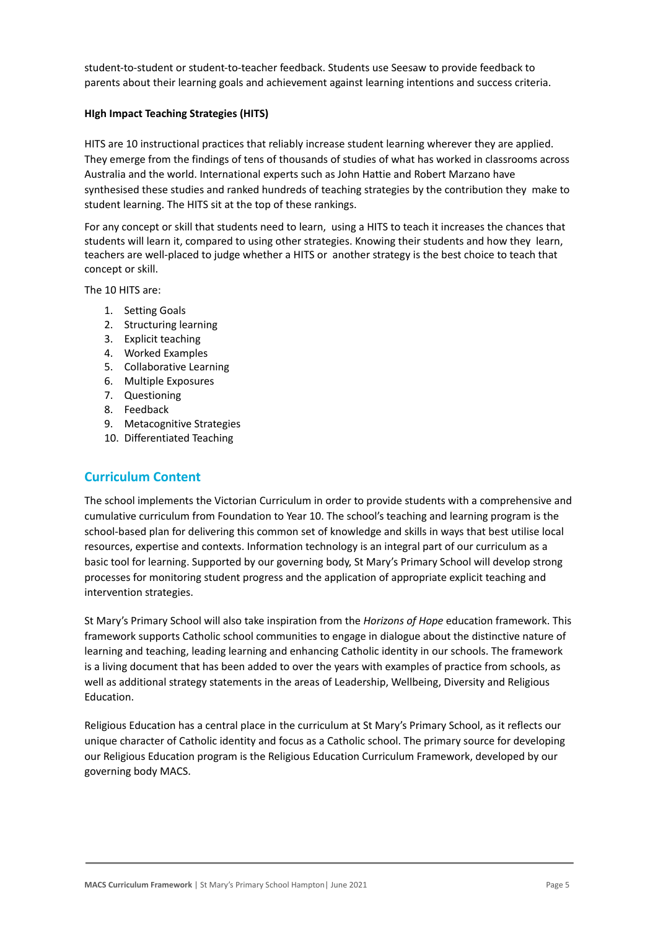student-to-student or student-to-teacher feedback. Students use Seesaw to provide feedback to parents about their learning goals and achievement against learning intentions and success criteria.

#### **HIgh Impact Teaching Strategies (HITS)**

HITS are 10 instructional practices that reliably increase student learning wherever they are applied. They emerge from the findings of tens of thousands of studies of what has worked in classrooms across Australia and the world. International experts such as John Hattie and Robert Marzano have synthesised these studies and ranked hundreds of teaching strategies by the contribution they make to student learning. The HITS sit at the top of these rankings.

For any concept or skill that students need to learn, using a HITS to teach it increases the chances that students will learn it, compared to using other strategies. Knowing their students and how they learn, teachers are well-placed to judge whether a HITS or another strategy is the best choice to teach that concept or skill.

The 10 HITS are:

- 1. Setting Goals
- 2. Structuring learning
- 3. Explicit teaching
- 4. Worked Examples
- 5. Collaborative Learning
- 6. Multiple Exposures
- 7. Questioning
- 8. Feedback
- 9. Metacognitive Strategies
- 10. Differentiated Teaching

# **Curriculum Content**

The school implements the Victorian Curriculum in order to provide students with a comprehensive and cumulative curriculum from Foundation to Year 10. The school's teaching and learning program is the school-based plan for delivering this common set of knowledge and skills in ways that best utilise local resources, expertise and contexts. Information technology is an integral part of our curriculum as a basic tool for learning. Supported by our governing body, St Mary's Primary School will develop strong processes for monitoring student progress and the application of appropriate explicit teaching and intervention strategies.

St Mary's Primary School will also take inspiration from the *Horizons of Hope* education framework. This framework supports Catholic school communities to engage in dialogue about the distinctive nature of learning and teaching, leading learning and enhancing Catholic identity in our schools. The framework is a living document that has been added to over the years with examples of practice from schools, as well as additional strategy statements in the areas of Leadership, Wellbeing, Diversity and Religious Education.

Religious Education has a central place in the curriculum at St Mary's Primary School, as it reflects our unique character of Catholic identity and focus as a Catholic school. The primary source for developing our Religious Education program is the Religious Education Curriculum Framework, developed by our governing body MACS.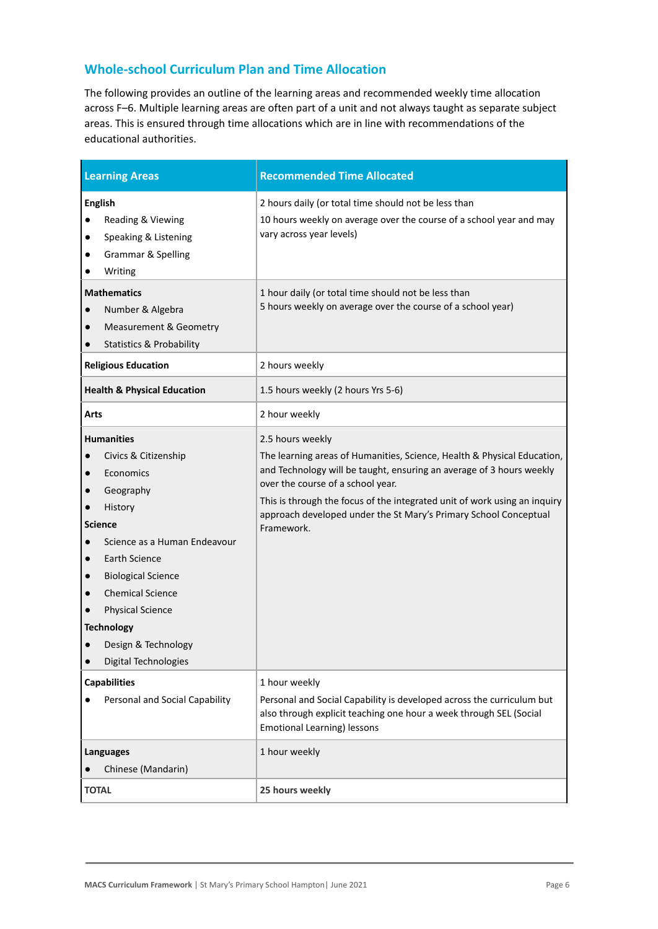# **Whole-school Curriculum Plan and Time Allocation**

The following provides an outline of the learning areas and recommended weekly time allocation across F–6. Multiple learning areas are often part of a unit and not always taught as separate subject areas. This is ensured through time allocations which are in line with recommendations of the educational authorities.

| <b>Learning Areas</b>                                                                                                                                                                                                                                                                                                                                                     | <b>Recommended Time Allocated</b>                                                                                                                                                                                                                                                                                                                                       |
|---------------------------------------------------------------------------------------------------------------------------------------------------------------------------------------------------------------------------------------------------------------------------------------------------------------------------------------------------------------------------|-------------------------------------------------------------------------------------------------------------------------------------------------------------------------------------------------------------------------------------------------------------------------------------------------------------------------------------------------------------------------|
| <b>English</b><br>Reading & Viewing<br>$\bullet$<br>Speaking & Listening<br>$\bullet$<br>Grammar & Spelling<br>Writing                                                                                                                                                                                                                                                    | 2 hours daily (or total time should not be less than<br>10 hours weekly on average over the course of a school year and may<br>vary across year levels)                                                                                                                                                                                                                 |
| <b>Mathematics</b><br>Number & Algebra<br><b>Measurement &amp; Geometry</b><br>$\bullet$<br><b>Statistics &amp; Probability</b>                                                                                                                                                                                                                                           | 1 hour daily (or total time should not be less than<br>5 hours weekly on average over the course of a school year)                                                                                                                                                                                                                                                      |
| <b>Religious Education</b>                                                                                                                                                                                                                                                                                                                                                | 2 hours weekly                                                                                                                                                                                                                                                                                                                                                          |
| <b>Health &amp; Physical Education</b>                                                                                                                                                                                                                                                                                                                                    | 1.5 hours weekly (2 hours Yrs 5-6)                                                                                                                                                                                                                                                                                                                                      |
| Arts                                                                                                                                                                                                                                                                                                                                                                      | 2 hour weekly                                                                                                                                                                                                                                                                                                                                                           |
| <b>Humanities</b><br>Civics & Citizenship<br>Economics<br>$\bullet$<br>Geography<br>$\bullet$<br>History<br><b>Science</b><br>Science as a Human Endeavour<br>$\bullet$<br>Earth Science<br>$\bullet$<br><b>Biological Science</b><br>$\bullet$<br><b>Chemical Science</b><br><b>Physical Science</b><br><b>Technology</b><br>Design & Technology<br>Digital Technologies | 2.5 hours weekly<br>The learning areas of Humanities, Science, Health & Physical Education,<br>and Technology will be taught, ensuring an average of 3 hours weekly<br>over the course of a school year.<br>This is through the focus of the integrated unit of work using an inquiry<br>approach developed under the St Mary's Primary School Conceptual<br>Framework. |
| <b>Capabilities</b><br>Personal and Social Capability                                                                                                                                                                                                                                                                                                                     | 1 hour weekly<br>Personal and Social Capability is developed across the curriculum but<br>also through explicit teaching one hour a week through SEL (Social<br><b>Emotional Learning) lessons</b>                                                                                                                                                                      |
| Languages<br>Chinese (Mandarin)                                                                                                                                                                                                                                                                                                                                           | 1 hour weekly                                                                                                                                                                                                                                                                                                                                                           |
| <b>TOTAL</b>                                                                                                                                                                                                                                                                                                                                                              | 25 hours weekly                                                                                                                                                                                                                                                                                                                                                         |